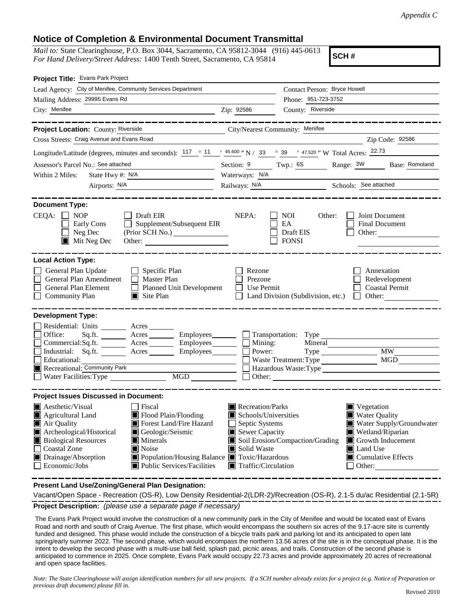## **Notice of Completion & Environmental Document Transmittal**

*Mail to:* State Clearinghouse, P.O. Box 3044, Sacramento, CA 95812-3044 (916) 445-0613 *For Hand Delivery/Street Address:* 1400 Tenth Street, Sacramento, CA 95814

**SCH #**

| Project Title: Evans Park Project                                                                                                                                                                                                                                                                                                                                                                                                                                                                |                                                                                                                                                                  |                                                                     |                                                                                                                                                                                          |
|--------------------------------------------------------------------------------------------------------------------------------------------------------------------------------------------------------------------------------------------------------------------------------------------------------------------------------------------------------------------------------------------------------------------------------------------------------------------------------------------------|------------------------------------------------------------------------------------------------------------------------------------------------------------------|---------------------------------------------------------------------|------------------------------------------------------------------------------------------------------------------------------------------------------------------------------------------|
| Lead Agency: City of Menifee, Community Services Department                                                                                                                                                                                                                                                                                                                                                                                                                                      |                                                                                                                                                                  | Contact Person: Bryce Howell                                        |                                                                                                                                                                                          |
| Mailing Address: 29995 Evans Rd                                                                                                                                                                                                                                                                                                                                                                                                                                                                  |                                                                                                                                                                  | Phone: 951-723-3752                                                 |                                                                                                                                                                                          |
| City: Menifee<br>$\overline{\phantom{z}}$ $\overline{\phantom{z}}$ $\overline{\phantom{z}}$ $\overline{\phantom{z}}$ $\overline{\phantom{z}}$ $\overline{\phantom{z}}$ $\overline{\phantom{z}}$ $\overline{\phantom{z}}$ $\overline{\phantom{z}}$ $\overline{\phantom{z}}$ $\overline{\phantom{z}}$ $\overline{\phantom{z}}$ $\overline{\phantom{z}}$ $\overline{\phantom{z}}$ $\overline{\phantom{z}}$ $\overline{\phantom{z}}$ $\overline{\phantom{z}}$ $\overline{\phantom{z}}$ $\overline{\$ |                                                                                                                                                                  | County: Riverside                                                   |                                                                                                                                                                                          |
| Project Location: County: Riverside<br>City/Nearest Community: Menifee                                                                                                                                                                                                                                                                                                                                                                                                                           |                                                                                                                                                                  |                                                                     |                                                                                                                                                                                          |
| Cross Streets: Craig Avenue and Evans Road                                                                                                                                                                                                                                                                                                                                                                                                                                                       |                                                                                                                                                                  |                                                                     | Zip Code: 92586                                                                                                                                                                          |
| Longitude/Latitude (degrees, minutes and seconds): $117 \degree$ 11 $\degree$ 45.600 " N / 33 $\degree$ 39 $\degree$ 47.520 " W Total Acres: 22.73                                                                                                                                                                                                                                                                                                                                               |                                                                                                                                                                  |                                                                     |                                                                                                                                                                                          |
|                                                                                                                                                                                                                                                                                                                                                                                                                                                                                                  |                                                                                                                                                                  |                                                                     |                                                                                                                                                                                          |
| Assessor's Parcel No.: See attached                                                                                                                                                                                                                                                                                                                                                                                                                                                              |                                                                                                                                                                  |                                                                     | Section: 9 Twp.: 6S Range: 3W Base: Romoland                                                                                                                                             |
| State Hwy #: <u>N/A</u><br>Within 2 Miles:                                                                                                                                                                                                                                                                                                                                                                                                                                                       | Waterways: N/A                                                                                                                                                   |                                                                     |                                                                                                                                                                                          |
| Airports: N/A                                                                                                                                                                                                                                                                                                                                                                                                                                                                                    |                                                                                                                                                                  | Railways: N/A Schools: See attached                                 |                                                                                                                                                                                          |
| <b>Document Type:</b>                                                                                                                                                                                                                                                                                                                                                                                                                                                                            |                                                                                                                                                                  |                                                                     |                                                                                                                                                                                          |
| CEOA:<br>$\blacksquare$ NOP<br>Draft EIR<br>Supplement/Subsequent EIR<br>Early Cons<br>$\Box$ Neg Dec<br>$\blacksquare$ Mit Neg Dec                                                                                                                                                                                                                                                                                                                                                              | NEPA:                                                                                                                                                            | NOI -<br>Other:<br>EA<br>Draft EIS<br><b>FONSI</b>                  | Joint Document<br><b>Final Document</b><br>Other: $\qquad \qquad$                                                                                                                        |
| <b>Local Action Type:</b>                                                                                                                                                                                                                                                                                                                                                                                                                                                                        |                                                                                                                                                                  |                                                                     |                                                                                                                                                                                          |
| $\Box$ Specific Plan<br>General Plan Update<br>General Plan Amendment<br>$\Box$ Master Plan<br>General Plan Element<br>Planned Unit Development<br>Community Plan<br>$\blacksquare$ Site Plan                                                                                                                                                                                                                                                                                                    | Rezone<br>Prezone<br>$\Box$ Use Permit                                                                                                                           |                                                                     | Annexation<br>Redevelopment<br>□ Coastal Permit<br>$\Box$ Land Division (Subdivision, etc.) $\Box$ Other:                                                                                |
| <b>Development Type:</b>                                                                                                                                                                                                                                                                                                                                                                                                                                                                         |                                                                                                                                                                  |                                                                     |                                                                                                                                                                                          |
| Residential: Units ________ Acres ____<br>Office:<br>Sq.ft. ________ Acres _________ Employees ________ __ ___ Transportation: Type __________<br>$Commetrical:$ Sq.ft. $\overline{\qquad}$ Acres $\overline{\qquad}$ Employees $\overline{\qquad}$ Mining:<br>Industrial: Sq.ft. Acres Employees<br>Educational:<br>Recreational: Community Park<br>MGD<br>Water Facilities: Type                                                                                                               | Power:                                                                                                                                                           | Mineral<br>Waste Treatment: Type<br>Hazardous Waste: Type<br>Other: | Type MW_<br>MGD                                                                                                                                                                          |
| <b>Project Issues Discussed in Document:</b>                                                                                                                                                                                                                                                                                                                                                                                                                                                     |                                                                                                                                                                  |                                                                     |                                                                                                                                                                                          |
| <b>A</b> Aesthetic/Visual<br>  Fiscal<br>Flood Plain/Flooding<br>Agricultural Land<br>Forest Land/Fire Hazard<br>Air Quality<br>Archeological/Historical<br>Geologic/Seismic<br>Biological Resources<br>$\blacksquare$ Minerals<br><b>Coastal Zone</b><br>$\blacksquare$ Noise<br>Drainage/Absorption<br>Population/Housing Balance Toxic/Hazardous<br>Economic/Jobs<br>$\blacksquare$ Public Services/Facilities                                                                                | Recreation/Parks<br>$\blacksquare$ Schools/Universities<br>Septic Systems<br>$\mathsf{L}$<br>Sewer Capacity<br>Solid Waste<br>$\blacksquare$ Traffic/Circulation | Soil Erosion/Compaction/Grading                                     | $\blacksquare$ Vegetation<br><b>Water Quality</b><br>Water Supply/Groundwater<br>Wetland/Riparian<br>$\blacksquare$ Growth Inducement<br>Land Use<br>Cumulative Effects<br>$\Box$ Other: |

**Present Land Use/Zoning/General Plan Designation:**

**Project Description:** *(please use a separate page if necessary)* Vacant/Open Space - Recreation (OS-R), Low Density Residential-2(LDR-2)/Recreation (OS-R), 2.1-5 du/ac Residential (2.1-5R)

The Evans Park Project would involve the construction of a new community park in the City of Menifee and would be located east of Evans Road and north and south of Craig Avenue. The first phase, which would encompass the southern six acres of the 9.17-acre site is currently funded and designed. This phase would include the construction of a bicycle trails park and parking lot and its anticipated to open late spring/early summer 2022. The second phase, which would encompass the northern 13.56 acres of the site is in the conceptual phase. It is the intent to develop the second phase with a multi-use ball field, splash pad, picnic areas, and trails. Construction of the second phase is anticipated to commence in 2025. Once complete, Evans Park would occupy 22.73 acres and provide approximately 20 acres of recreational and open space facilities.

*Note: The State Clearinghouse will assign identification numbers for all new projects. If a SCH number already exists for a project (e.g. Notice of Preparation or previous draft document) please fill in.*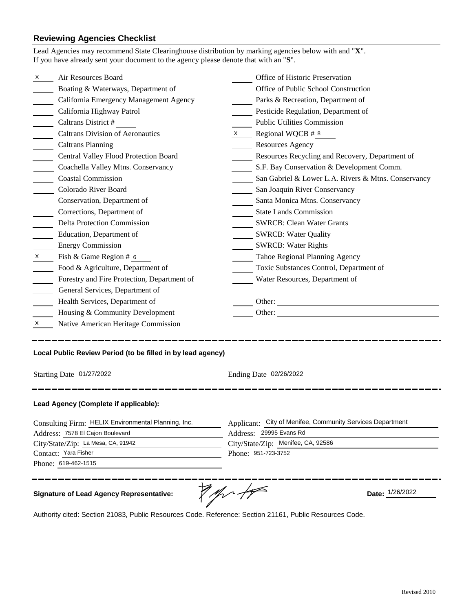## **Reviewing Agencies Checklist**

|   | Air Resources Board                                                                     |    | Office of Historic Preservation                           |
|---|-----------------------------------------------------------------------------------------|----|-----------------------------------------------------------|
|   | Boating & Waterways, Department of                                                      |    | Office of Public School Construction                      |
|   | California Emergency Management Agency                                                  |    | Parks & Recreation, Department of                         |
|   | California Highway Patrol                                                               |    | Pesticide Regulation, Department of                       |
|   | Caltrans District #                                                                     |    | <b>Public Utilities Commission</b>                        |
|   | <b>Caltrans Division of Aeronautics</b>                                                 | X. | Regional WQCB # 8                                         |
|   | <b>Caltrans Planning</b>                                                                |    | <b>Resources Agency</b>                                   |
|   | Central Valley Flood Protection Board                                                   |    | Resources Recycling and Recovery, Department of           |
|   | Coachella Valley Mtns. Conservancy                                                      |    | S.F. Bay Conservation & Development Comm.                 |
|   | <b>Coastal Commission</b>                                                               |    | San Gabriel & Lower L.A. Rivers & Mtns. Conservancy       |
|   | Colorado River Board                                                                    |    | San Joaquin River Conservancy                             |
|   | Conservation, Department of                                                             |    | Santa Monica Mtns. Conservancy                            |
|   | Corrections, Department of                                                              |    | <b>State Lands Commission</b>                             |
|   | <b>Delta Protection Commission</b>                                                      |    | <b>SWRCB: Clean Water Grants</b>                          |
|   | Education, Department of                                                                |    | <b>SWRCB: Water Quality</b>                               |
|   | <b>Energy Commission</b>                                                                |    | <b>SWRCB: Water Rights</b>                                |
| X | Fish & Game Region # 6                                                                  |    | Tahoe Regional Planning Agency                            |
|   | Food & Agriculture, Department of                                                       |    | Toxic Substances Control, Department of                   |
|   | Forestry and Fire Protection, Department of                                             |    | Water Resources, Department of                            |
|   | General Services, Department of                                                         |    |                                                           |
|   | Health Services, Department of                                                          |    | Other:                                                    |
|   | Housing & Community Development                                                         |    | Other:                                                    |
| X | Native American Heritage Commission                                                     |    |                                                           |
|   | Local Public Review Period (to be filled in by lead agency)                             |    |                                                           |
|   |                                                                                         |    |                                                           |
|   | Starting Date 01/27/2022                                                                |    | Ending Date 02/26/2022                                    |
|   | Lead Agency (Complete if applicable):                                                   |    |                                                           |
|   |                                                                                         |    | Applicant: City of Menifee, Community Services Department |
|   | Consulting Firm: HELIX Environmental Planning, Inc.<br>Address: 7578 El Cajon Boulevard |    | Address: 29995 Evans Rd                                   |
|   | City/State/Zip: La Mesa, CA, 91942                                                      |    | City/State/Zip: Menifee, CA, 92586                        |
|   | Contact: Yara Fisher                                                                    |    | Phone: 951-723-3752                                       |
|   | Phone: 619-462-1515                                                                     |    |                                                           |